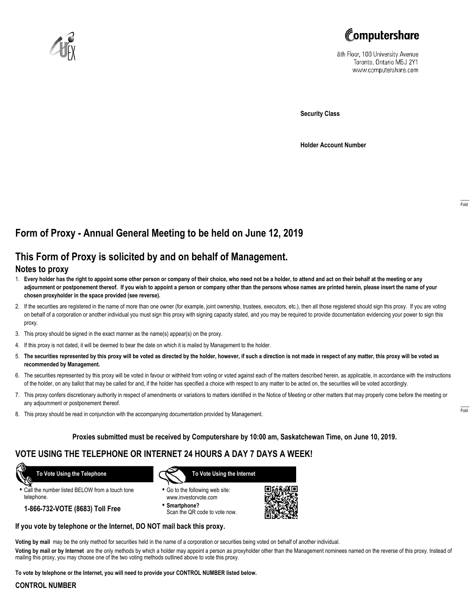



8th Floor, 100 University Avenue Toronto, Ontario M5J 2Y1 www.computershare.com

**Security Class**

**Holder Account Number**

## **Form of Proxy - Annual General Meeting to be held on June 12, 2019**

# **This Form of Proxy is solicited by and on behalf of Management.**

### **Notes to proxy**

- 1. **Every holder has the right to appoint some other person or company of their choice, who need not be a holder, to attend and act on their behalf at the meeting or any adjournment or postponement thereof. If you wish to appoint a person or company other than the persons whose names are printed herein, please insert the name of your chosen proxyholder in the space provided (see reverse).**
- 2. If the securities are registered in the name of more than one owner (for example, joint ownership, trustees, executors, etc.), then all those registered should sign this proxy. If you are voting on behalf of a corporation or another individual you must sign this proxy with signing capacity stated, and you may be required to provide documentation evidencing your power to sign this proxy.
- 3. This proxy should be signed in the exact manner as the name(s) appear(s) on the proxy.
- 4. If this proxy is not dated, it will be deemed to bear the date on which it is mailed by Management to the holder.
- 5. **The securities represented by this proxy will be voted as directed by the holder, however, if such a direction is not made in respect of any matter, this proxy will be voted as recommended by Management.**
- 6. The securities represented by this proxy will be voted in favour or withheld from voting or voted against each of the matters described herein, as applicable, in accordance with the instructions of the holder, on any ballot that may be called for and, if the holder has specified a choice with respect to any matter to be acted on, the securities will be voted accordingly.
- 7. This proxy confers discretionary authority in respect of amendments or variations to matters identified in the Notice of Meeting or other matters that may properly come before the meeting or any adjournment or postponement thereof.
- 8. This proxy should be read in conjunction with the accompanying documentation provided by Management.

#### **Proxies submitted must be received by Computershare by 10:00 am, Saskatchewan Time, on June 10, 2019.**

## **VOTE USING THE TELEPHONE OR INTERNET 24 HOURS A DAY 7 DAYS A WEEK!**

 **To Vote Using the Telephone**

**•** Call the number listed BELOW from a touch tone telephone.

**1-866-732-VOTE (8683) Toll Free**



- **•** Go to the following web site: www.investorvote.com
- **• Smartphone?** Scan the QR code to vote now.



#### **If you vote by telephone or the Internet, DO NOT mail back this proxy.**

**Voting by mail** may be the only method for securities held in the name of a corporation or securities being voted on behalf of another individual.

**Voting by mail or by Internet** are the only methods by which a holder may appoint a person as proxyholder other than the Management nominees named on the reverse of this proxy. Instead of mailing this proxy, you may choose one of the two voting methods outlined above to vote this proxy.

**To vote by telephone or the Internet, you will need to provide your CONTROL NUMBER listed below.**

#### **CONTROL NUMBER**